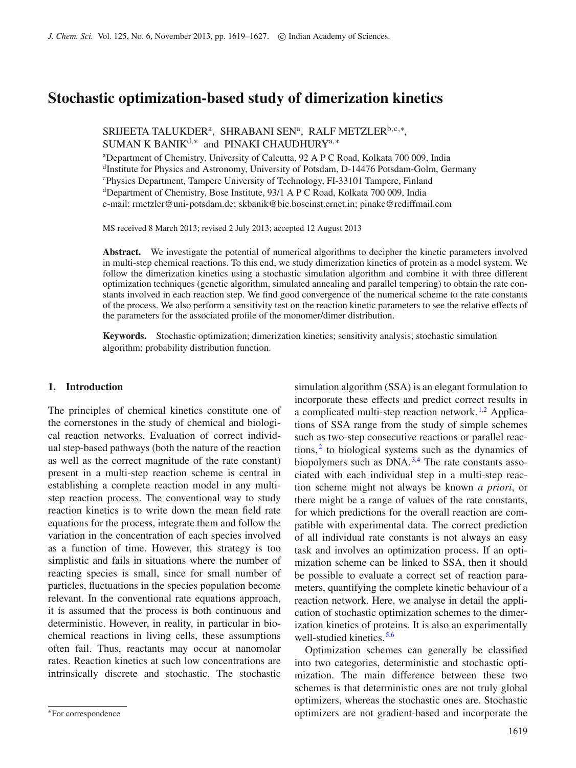# **Stochastic optimization-based study of dimerization kinetics**

SRIJEETA TALUKDERª, SHRABANI SENª, RALF METZLER $^{\text{b,c}, *},$ SUMAN K BANIK<sup>d,\*</sup> and PINAKI CHAUDHURY<sup>a,\*</sup>

<sup>a</sup>Department of Chemistry, University of Calcutta, 92 A P C Road, Kolkata 700 009, India <sup>d</sup>Institute for Physics and Astronomy, University of Potsdam, D-14476 Potsdam-Golm, Germany c Physics Department, Tampere University of Technology, FI-33101 Tampere, Finland dDepartment of Chemistry, Bose Institute, 93/1 A P C Road, Kolkata 700 009, India e-mail: rmetzler@uni-potsdam.de; skbanik@bic.boseinst.ernet.in; pinakc@rediffmail.com

MS received 8 March 2013; revised 2 July 2013; accepted 12 August 2013

**Abstract.** We investigate the potential of numerical algorithms to decipher the kinetic parameters involved in multi-step chemical reactions. To this end, we study dimerization kinetics of protein as a model system. We follow the dimerization kinetics using a stochastic simulation algorithm and combine it with three different optimization techniques (genetic algorithm, simulated annealing and parallel tempering) to obtain the rate constants involved in each reaction step. We find good convergence of the numerical scheme to the rate constants of the process. We also perform a sensitivity test on the reaction kinetic parameters to see the relative effects of the parameters for the associated profile of the monomer/dimer distribution.

**Keywords.** Stochastic optimization; dimerization kinetics; sensitivity analysis; stochastic simulation algorithm; probability distribution function.

# **1. Introduction**

The principles of chemical kinetics constitute one of the cornerstones in the study of chemical and biological reaction networks. Evaluation of correct individual step-based pathways (both the nature of the reaction as well as the correct magnitude of the rate constant) present in a multi-step reaction scheme is central in establishing a complete reaction model in any multistep reaction process. The conventional way to study reaction kinetics is to write down the mean field rate equations for the process, integrate them and follow the variation in the concentration of each species involved as a function of time. However, this strategy is too simplistic and fails in situations where the number of reacting species is small, since for small number of particles, fluctuations in the species population become relevant. In the conventional rate equations approach, it is assumed that the process is both continuous and deterministic. However, in reality, in particular in biochemical reactions in living cells, these assumptions often fail. Thus, reactants may occur at nanomolar rates. Reaction kinetics at such low concentrations are intrinsically discrete and stochastic. The stochastic simulation algorithm (SSA) is an elegant formulation to incorporate these effects and predict correct results in a complicated multi-step reaction network.<sup>[1](#page-7-0)[,2](#page-7-1)</sup> Applications of SSA range from the study of simple schemes such as two-step consecutive reactions or parallel reactions, $<sup>2</sup>$  $<sup>2</sup>$  $<sup>2</sup>$  to biological systems such as the dynamics of</sup> biopolymers such as  $DNA$ . <sup>[3](#page-7-2)[,4](#page-7-3)</sup> The rate constants associated with each individual step in a multi-step reaction scheme might not always be known *a priori*, or there might be a range of values of the rate constants, for which predictions for the overall reaction are compatible with experimental data. The correct prediction of all individual rate constants is not always an easy task and involves an optimization process. If an optimization scheme can be linked to SSA, then it should be possible to evaluate a correct set of reaction parameters, quantifying the complete kinetic behaviour of a reaction network. Here, we analyse in detail the application of stochastic optimization schemes to the dimerization kinetics of proteins. It is also an experimentally well-studied kinetics. [5](#page-7-4)[,6](#page-7-5)

Optimization schemes can generally be classified into two categories, deterministic and stochastic optimization. The main difference between these two schemes is that deterministic ones are not truly global optimizers, whereas the stochastic ones are. Stochastic optimizers are not gradient-based and incorporate the

<sup>∗</sup>For correspondence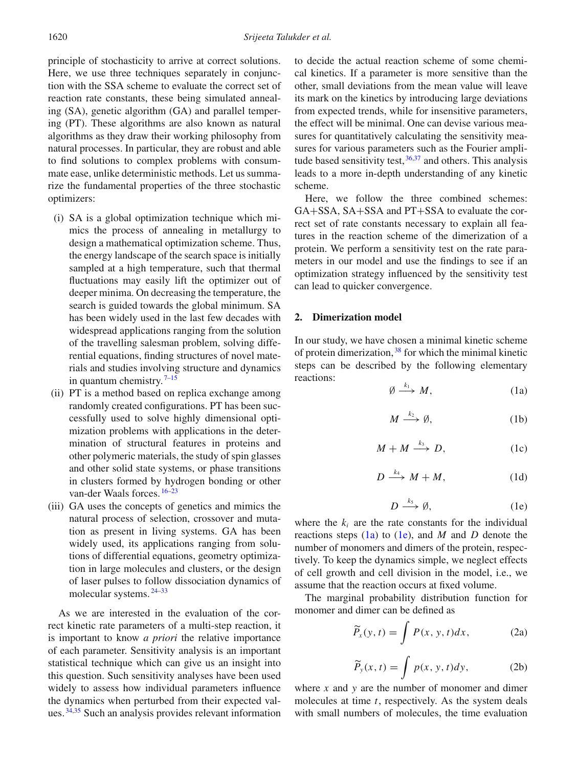principle of stochasticity to arrive at correct solutions. Here, we use three techniques separately in conjunction with the SSA scheme to evaluate the correct set of reaction rate constants, these being simulated annealing (SA), genetic algorithm (GA) and parallel tempering (PT). These algorithms are also known as natural algorithms as they draw their working philosophy from natural processes. In particular, they are robust and able to find solutions to complex problems with consummate ease, unlike deterministic methods. Let us summarize the fundamental properties of the three stochastic optimizers:

- (i) SA is a global optimization technique which mimics the process of annealing in metallurgy to design a mathematical optimization scheme. Thus, the energy landscape of the search space is initially sampled at a high temperature, such that thermal fluctuations may easily lift the optimizer out of deeper minima. On decreasing the temperature, the search is guided towards the global minimum. SA has been widely used in the last few decades with widespread applications ranging from the solution of the travelling salesman problem, solving differential equations, finding structures of novel materials and studies involving structure and dynamics in quantum chemistry.  $7-15$  $7-15$
- (ii) PT is a method based on replica exchange among randomly created configurations. PT has been successfully used to solve highly dimensional optimization problems with applications in the determination of structural features in proteins and other polymeric materials, the study of spin glasses and other solid state systems, or phase transitions in clusters formed by hydrogen bonding or other van-der Waals forces. [16](#page-7-8)[–23](#page-7-9)
- (iii) GA uses the concepts of genetics and mimics the natural process of selection, crossover and mutation as present in living systems. GA has been widely used, its applications ranging from solutions of differential equations, geometry optimization in large molecules and clusters, or the design of laser pulses to follow dissociation dynamics of molecular systems. [24](#page-7-10)[–33](#page-8-0)

As we are interested in the evaluation of the correct kinetic rate parameters of a multi-step reaction, it is important to know *a priori* the relative importance of each parameter. Sensitivity analysis is an important statistical technique which can give us an insight into this question. Such sensitivity analyses have been used widely to assess how individual parameters influence the dynamics when perturbed from their expected values. [34](#page-8-1)[,35](#page-8-2) Such an analysis provides relevant information to decide the actual reaction scheme of some chemical kinetics. If a parameter is more sensitive than the other, small deviations from the mean value will leave its mark on the kinetics by introducing large deviations from expected trends, while for insensitive parameters, the effect will be minimal. One can devise various measures for quantitatively calculating the sensitivity measures for various parameters such as the Fourier amplitude based sensitivity test,  $36,37$  $36,37$  and others. This analysis leads to a more in-depth understanding of any kinetic scheme.

Here, we follow the three combined schemes: GA+SSA, SA+SSA and PT+SSA to evaluate the correct set of rate constants necessary to explain all features in the reaction scheme of the dimerization of a protein. We perform a sensitivity test on the rate parameters in our model and use the findings to see if an optimization strategy influenced by the sensitivity test can lead to quicker convergence.

#### **2. Dimerization model**

In our study, we have chosen a minimal kinetic scheme of protein dimerization, [38](#page-8-5) for which the minimal kinetic steps can be described by the following elementary reactions:

<span id="page-1-0"></span>
$$
\emptyset \xrightarrow{k_1} M, \tag{1a}
$$

$$
M \xrightarrow{k_2} \emptyset, \tag{1b}
$$

$$
M + M \xrightarrow{k_3} D, \qquad (1c)
$$

$$
D \xrightarrow{k_4} M + M, \tag{1d}
$$

<span id="page-1-1"></span>
$$
D \xrightarrow{k_5} \emptyset, \tag{1e}
$$

<span id="page-1-2"></span>where the  $k_i$  are the rate constants for the individual reactions steps [\(1a\)](#page-1-0) to [\(1e\)](#page-1-1), and *M* and *D* denote the number of monomers and dimers of the protein, respectively. To keep the dynamics simple, we neglect effects of cell growth and cell division in the model, i.e., we assume that the reaction occurs at fixed volume.

The marginal probability distribution function for monomer and dimer can be defined as

$$
\widetilde{P}_x(y,t) = \int P(x, y, t) dx, \tag{2a}
$$

$$
\widetilde{P}_y(x,t) = \int p(x,y,t)dy,\tag{2b}
$$

where *x* and *y* are the number of monomer and dimer molecules at time *t*, respectively. As the system deals with small numbers of molecules, the time evaluation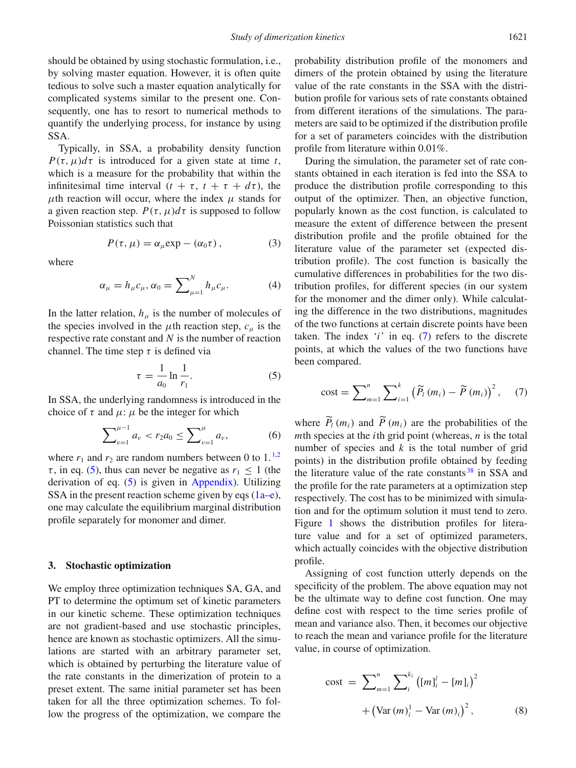should be obtained by using stochastic formulation, i.e., by solving master equation. However, it is often quite tedious to solve such a master equation analytically for complicated systems similar to the present one. Consequently, one has to resort to numerical methods to quantify the underlying process, for instance by using SSA.

Typically, in SSA, a probability density function *P*( $\tau$ ,  $\mu$ ) $d\tau$  is introduced for a given state at time *t*, which is a measure for the probability that within the infinitesimal time interval  $(t + \tau, t + \tau + d\tau)$ , the  $\mu$ th reaction will occur, where the index  $\mu$  stands for a given reaction step.  $P(\tau, \mu)d\tau$  is supposed to follow Poissonian statistics such that

$$
P(\tau, \mu) = \alpha_{\mu} \exp - (\alpha_0 \tau), \qquad (3)
$$

where

$$
\alpha_{\mu} = h_{\mu} c_{\mu}, \alpha_0 = \sum_{\mu=1}^{N} h_{\mu} c_{\mu}.
$$
 (4)

In the latter relation,  $h_{\mu}$  is the number of molecules of the species involved in the  $\mu$ th reaction step,  $c_{\mu}$  is the respective rate constant and *N* is the number of reaction channel. The time step  $\tau$  is defined via

<span id="page-2-0"></span>
$$
\tau = \frac{1}{a_0} \ln \frac{1}{r_1}.
$$
 (5)

In SSA, the underlying randomness is introduced in the choice of  $\tau$  and  $\mu$ :  $\mu$  be the integer for which

$$
\sum_{v=1}^{\mu-1} a_v < r_2 a_0 \le \sum_{v=1}^{\mu} a_v,\tag{6}
$$

where  $r_1$  $r_1$  and  $r_2$  are random numbers between 0 to 1.<sup>1[,2](#page-7-1)</sup>  $\tau$ , in eq. [\(5\)](#page-2-0), thus can never be negative as  $r_1 \leq 1$  (the derivation of eq. [\(5\)](#page-2-0) is given in [Appendix\)](#page-7-11). Utilizing SSA in the present reaction scheme given by eqs  $(1a-e)$  $(1a-e)$ , one may calculate the equilibrium marginal distribution profile separately for monomer and dimer.

#### **3. Stochastic optimization**

We employ three optimization techniques SA, GA, and PT to determine the optimum set of kinetic parameters in our kinetic scheme. These optimization techniques are not gradient-based and use stochastic principles, hence are known as stochastic optimizers. All the simulations are started with an arbitrary parameter set, which is obtained by perturbing the literature value of the rate constants in the dimerization of protein to a preset extent. The same initial parameter set has been taken for all the three optimization schemes. To follow the progress of the optimization, we compare the probability distribution profile of the monomers and dimers of the protein obtained by using the literature value of the rate constants in the SSA with the distribution profile for various sets of rate constants obtained from different iterations of the simulations. The parameters are said to be optimized if the distribution profile for a set of parameters coincides with the distribution profile from literature within 0.01%.

During the simulation, the parameter set of rate constants obtained in each iteration is fed into the SSA to produce the distribution profile corresponding to this output of the optimizer. Then, an objective function, popularly known as the cost function, is calculated to measure the extent of difference between the present distribution profile and the profile obtained for the literature value of the parameter set (expected distribution profile). The cost function is basically the cumulative differences in probabilities for the two distribution profiles, for different species (in our system for the monomer and the dimer only). While calculating the difference in the two distributions, magnitudes of the two functions at certain discrete points have been taken. The index '*i*' in eq. [\(7\)](#page-2-1) refers to the discrete points, at which the values of the two functions have been compared.

<span id="page-2-1"></span>cost = 
$$
\sum_{m=1}^{n} \sum_{i=1}^{k} (\widetilde{P}_l(m_i) - \widetilde{P}(m_i))^{2},
$$
 (7)

where  $P_l(m_i)$  and  $P(m_i)$  are the probabilities of the  $m$ th species at the *i*<sup>th</sup> grid point (whereas, *n* is the total number of species and  $k$  is the total number of grid points) in the distribution profile obtained by feeding the literature value of the rate constants<sup>[38](#page-8-5)</sup> in SSA and the profile for the rate parameters at a optimization step respectively. The cost has to be minimized with simulation and for the optimum solution it must tend to zero. Figure [1](#page-3-0) shows the distribution profiles for literature value and for a set of optimized parameters, which actually coincides with the objective distribution profile.

Assigning of cost function utterly depends on the specificity of the problem. The above equation may not be the ultimate way to define cost function. One may define cost with respect to the time series profile of mean and variance also. Then, it becomes our objective to reach the mean and variance profile for the literature value, in course of optimization.

cost = 
$$
\sum_{m=1}^{n} \sum_{i}^{k_1} ((m)_i^l - [m]_i)^2
$$
  
+  $(\text{Var}(m)_i^l - \text{Var}(m)_i)^2$ , (8)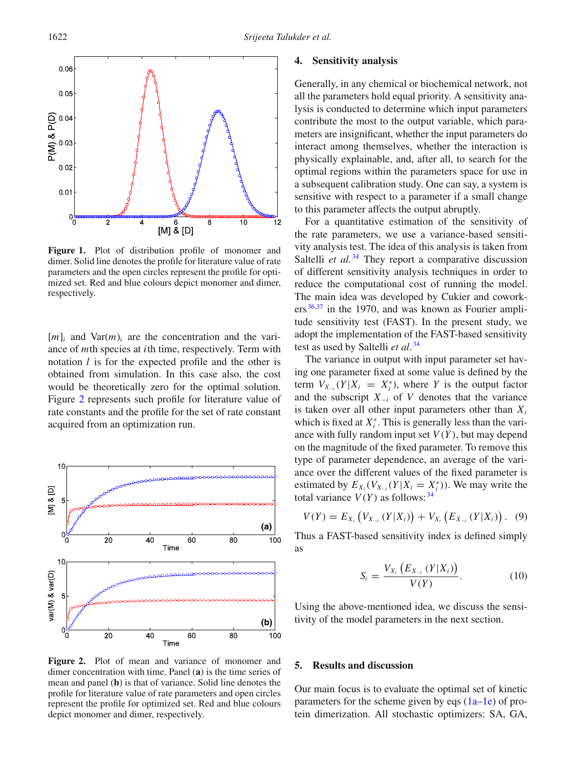<span id="page-3-0"></span>

Figure 1. Plot of distribution profile of monomer and dimer. Solid line denotes the profile for literature value of rate parameters and the open circles represent the profile for optimized set. Red and blue colours depict monomer and dimer, respectively.

 $[m]_i$  and  $Var(m)_i$  are the concentration and the variance of *m*th species at *i*th time, respectively. Term with notation *l* is for the expected profile and the other is obtained from simulation. In this case also, the cost would be theoretically zero for the optimal solution. Figure [2](#page-3-1) represents such profile for literature value of rate constants and the profile for the set of rate constant acquired from an optimization run.

<span id="page-3-1"></span>

**Figure 2.** Plot of mean and variance of monomer and dimer concentration with time. Panel (**a**) is the time series of mean and panel (**b**) is that of variance. Solid line denotes the profile for literature value of rate parameters and open circles represent the profile for optimized set. Red and blue colours depict monomer and dimer, respectively.

## **4. Sensitivity analysis**

Generally, in any chemical or biochemical network, not all the parameters hold equal priority. A sensitivity analysis is conducted to determine which input parameters contribute the most to the output variable, which parameters are insignificant, whether the input parameters do interact among themselves, whether the interaction is physically explainable, and, after all, to search for the optimal regions within the parameters space for use in a subsequent calibration study. One can say, a system is sensitive with respect to a parameter if a small change to this parameter affects the output abruptly.

For a quantitative estimation of the sensitivity of the rate parameters, we use a variance-based sensitivity analysis test. The idea of this analysis is taken from Saltelli *et al.*<sup>[34](#page-8-1)</sup> They report a comparative discussion of different sensitivity analysis techniques in order to reduce the computational cost of running the model. The main idea was developed by Cukier and cowork- $ers<sup>36,37</sup>$  $ers<sup>36,37</sup>$  $ers<sup>36,37</sup>$  $ers<sup>36,37</sup>$  in the 1970, and was known as Fourier amplitude sensitivity test (FAST). In the present study, we adopt the implementation of the FAST-based sensitivity test as used by Saltelli *et al*. [34](#page-8-1)

The variance in output with input parameter set having one parameter fixed at some value is defined by the term  $V_{X_{-i}}(Y | X_i = X_i^*)$ , where *Y* is the output factor and the subscript *X*<sup>−</sup>*<sup>i</sup>* of *V* denotes that the variance is taken over all other input parameters other than  $X_i$ which is fixed at  $X_i^*$ . This is generally less than the variance with fully random input set  $V(Y)$ , but may depend on the magnitude of the fixed parameter. To remove this type of parameter dependence, an average of the variance over the different values of the fixed parameter is estimated by  $E_{X_i}(V_{X_{-i}}(Y | X_i = X_i^*))$ . We may write the total variance  $V(Y)$  as follows: <sup>[34](#page-8-1)</sup>

$$
V(Y) = E_{X_i} (V_{X_{-i}} (Y | X_i)) + V_{X_i} (E_{X_{-i}} (Y | X_i)). \quad (9)
$$

Thus a FAST-based sensitivity index is defined simply as

$$
S_i = \frac{V_{X_i} (E_{X_{-i}} (Y | X_i))}{V(Y)}.
$$
 (10)

Using the above-mentioned idea, we discuss the sensitivity of the model parameters in the next section.

#### **5. Results and discussion**

Our main focus is to evaluate the optimal set of kinetic parameters for the scheme given by eqs  $(1a-1e)$  $(1a-1e)$  of protein dimerization. All stochastic optimizers: SA, GA,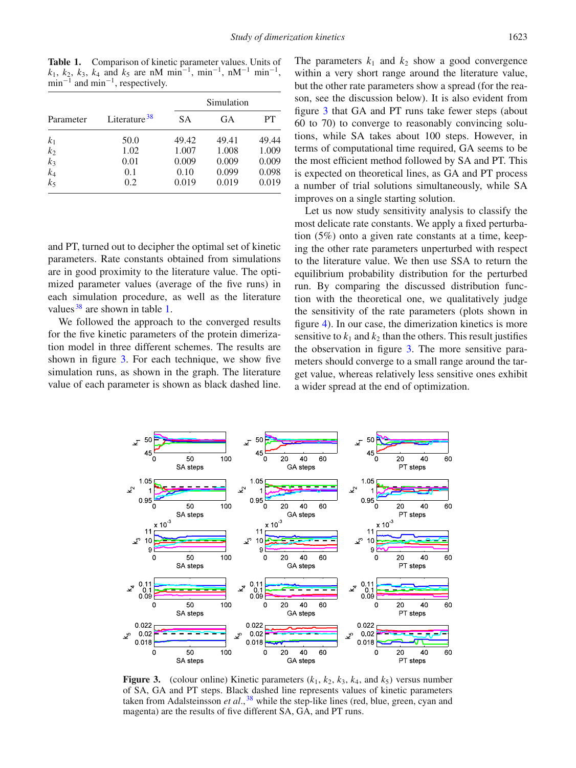<span id="page-4-0"></span>**Table 1.** Comparison of kinetic parameter values. Units of  $k_1$ ,  $k_2$ ,  $k_3$ ,  $k_4$  and  $k_5$  are nM min<sup>-1</sup>, min<sup>-1</sup>, nM<sup>-1</sup> min<sup>-1</sup>,  $min^{-1}$  and  $min^{-1}$ , respectively.

| Parameter                        | Literature <sup>38</sup> | Simulation |       |       |
|----------------------------------|--------------------------|------------|-------|-------|
|                                  |                          | <b>SA</b>  | GA    | PТ    |
| k <sub>1</sub>                   | 50.0                     | 49.42      | 49.41 | 49.44 |
|                                  | 1.02                     | 1.007      | 1.008 | 1.009 |
|                                  | 0.01                     | 0.009      | 0.009 | 0.009 |
|                                  | 0.1                      | 0.10       | 0.099 | 0.098 |
| $k_2$<br>$k_3$<br>$k_4$<br>$k_5$ | 0.2                      | 0.019      | 0.019 | 0.019 |

and PT, turned out to decipher the optimal set of kinetic parameters. Rate constants obtained from simulations are in good proximity to the literature value. The optimized parameter values (average of the five runs) in each simulation procedure, as well as the literature values  $38$  are shown in table [1.](#page-4-0)

We followed the approach to the converged results for the five kinetic parameters of the protein dimerization model in three different schemes. The results are shown in figure [3.](#page-4-1) For each technique, we show five simulation runs, as shown in the graph. The literature value of each parameter is shown as black dashed line. The parameters  $k_1$  and  $k_2$  show a good convergence within a very short range around the literature value, but the other rate parameters show a spread (for the reason, see the discussion below). It is also evident from figure [3](#page-4-1) that GA and PT runs take fewer steps (about 60 to 70) to converge to reasonably convincing solutions, while SA takes about 100 steps. However, in terms of computational time required, GA seems to be the most efficient method followed by SA and PT. This is expected on theoretical lines, as GA and PT process a number of trial solutions simultaneously, while SA improves on a single starting solution.

Let us now study sensitivity analysis to classify the most delicate rate constants. We apply a fixed perturbation (5%) onto a given rate constants at a time, keeping the other rate parameters unperturbed with respect to the literature value. We then use SSA to return the equilibrium probability distribution for the perturbed run. By comparing the discussed distribution function with the theoretical one, we qualitatively judge the sensitivity of the rate parameters (plots shown in figure [4\)](#page-5-0). In our case, the dimerization kinetics is more sensitive to  $k_1$  and  $k_2$  than the others. This result justifies the observation in figure [3.](#page-4-1) The more sensitive parameters should converge to a small range around the target value, whereas relatively less sensitive ones exhibit a wider spread at the end of optimization.

<span id="page-4-1"></span>

**Figure 3.** (colour online) Kinetic parameters  $(k_1, k_2, k_3, k_4,$  and  $k_5$ ) versus number of SA, GA and PT steps. Black dashed line represents values of kinetic parameters taken from Adalsteinsson *et al.*, <sup>[38](#page-8-5)</sup> while the step-like lines (red, blue, green, cyan and magenta) are the results of five different SA, GA, and PT runs.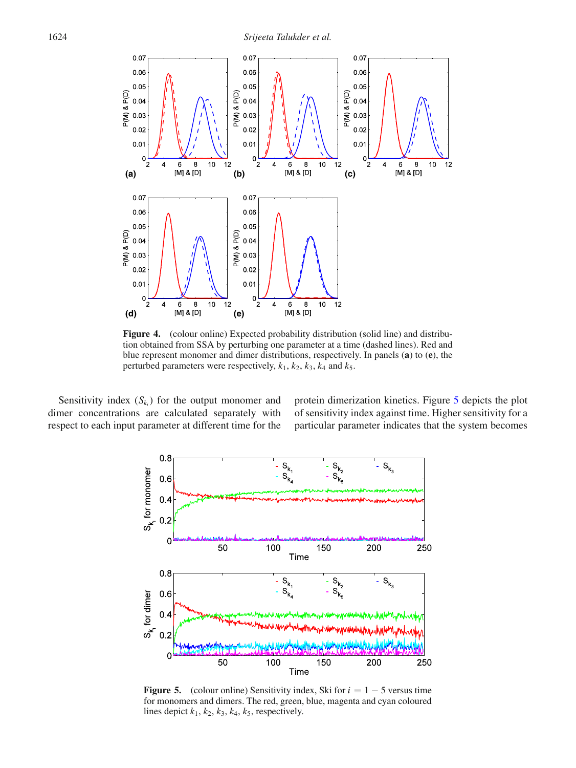<span id="page-5-0"></span>

**Figure 4.** (colour online) Expected probability distribution (solid line) and distribution obtained from SSA by perturbing one parameter at a time (dashed lines). Red and blue represent monomer and dimer distributions, respectively. In panels (**a**) to (**e**), the perturbed parameters were respectively,  $k_1$ ,  $k_2$ ,  $k_3$ ,  $k_4$  and  $k_5$ .

<span id="page-5-1"></span>Sensitivity index  $(S_k)$  for the output monomer and dimer concentrations are calculated separately with respect to each input parameter at different time for the protein dimerization kinetics. Figure [5](#page-5-1) depicts the plot of sensitivity index against time. Higher sensitivity for a particular parameter indicates that the system becomes



**Figure 5.** (colour online) Sensitivity index, Ski for  $i = 1 - 5$  versus time for monomers and dimers. The red, green, blue, magenta and cyan coloured lines depict  $k_1$ ,  $k_2$ ,  $k_3$ ,  $k_4$ ,  $k_5$ , respectively.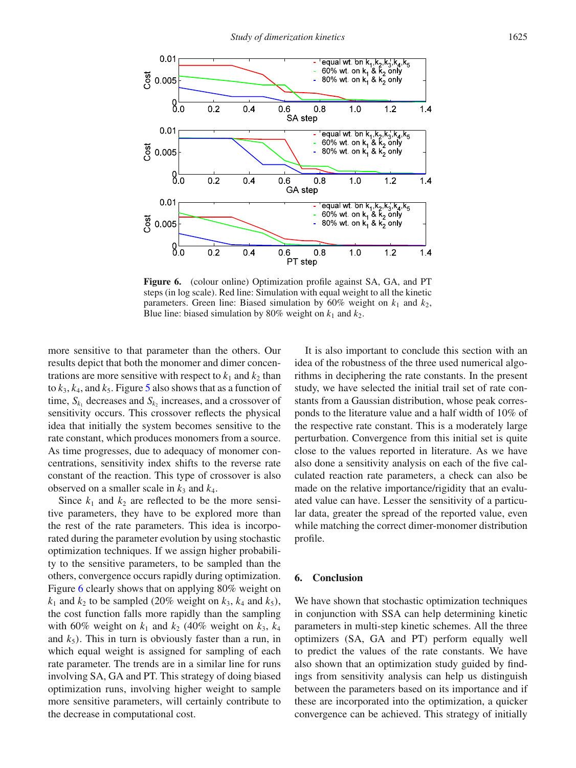<span id="page-6-0"></span>

Figure 6. (colour online) Optimization profile against SA, GA, and PT steps (in log scale). Red line: Simulation with equal weight to all the kinetic parameters. Green line: Biased simulation by  $60\%$  weight on  $k_1$  and  $k_2$ , Blue line: biased simulation by 80% weight on  $k_1$  and  $k_2$ .

more sensitive to that parameter than the others. Our results depict that both the monomer and dimer concentrations are more sensitive with respect to  $k_1$  and  $k_2$  than to  $k_3$ ,  $k_4$ , and  $k_5$  $k_5$ . Figure 5 also shows that as a function of time,  $S_{k_1}$  decreases and  $S_{k_2}$  increases, and a crossover of sensitivity occurs. This crossover reflects the physical idea that initially the system becomes sensitive to the rate constant, which produces monomers from a source. As time progresses, due to adequacy of monomer concentrations, sensitivity index shifts to the reverse rate constant of the reaction. This type of crossover is also observed on a smaller scale in  $k_3$  and  $k_4$ .

Since  $k_1$  and  $k_2$  are reflected to be the more sensitive parameters, they have to be explored more than the rest of the rate parameters. This idea is incorporated during the parameter evolution by using stochastic optimization techniques. If we assign higher probability to the sensitive parameters, to be sampled than the others, convergence occurs rapidly during optimization. Figure [6](#page-6-0) clearly shows that on applying 80% weight on  $k_1$  and  $k_2$  to be sampled (20% weight on  $k_3$ ,  $k_4$  and  $k_5$ ), the cost function falls more rapidly than the sampling with 60% weight on  $k_1$  and  $k_2$  (40% weight on  $k_3$ ,  $k_4$ and  $k_5$ ). This in turn is obviously faster than a run, in which equal weight is assigned for sampling of each rate parameter. The trends are in a similar line for runs involving SA, GA and PT. This strategy of doing biased optimization runs, involving higher weight to sample more sensitive parameters, will certainly contribute to the decrease in computational cost.

It is also important to conclude this section with an idea of the robustness of the three used numerical algorithms in deciphering the rate constants. In the present study, we have selected the initial trail set of rate constants from a Gaussian distribution, whose peak corresponds to the literature value and a half width of 10% of the respective rate constant. This is a moderately large perturbation. Convergence from this initial set is quite close to the values reported in literature. As we have also done a sensitivity analysis on each of the five calculated reaction rate parameters, a check can also be made on the relative importance/rigidity that an evaluated value can have. Lesser the sensitivity of a particular data, greater the spread of the reported value, even while matching the correct dimer-monomer distribution profile.

#### **6. Conclusion**

We have shown that stochastic optimization techniques in conjunction with SSA can help determining kinetic parameters in multi-step kinetic schemes. All the three optimizers (SA, GA and PT) perform equally well to predict the values of the rate constants. We have also shown that an optimization study guided by findings from sensitivity analysis can help us distinguish between the parameters based on its importance and if these are incorporated into the optimization, a quicker convergence can be achieved. This strategy of initially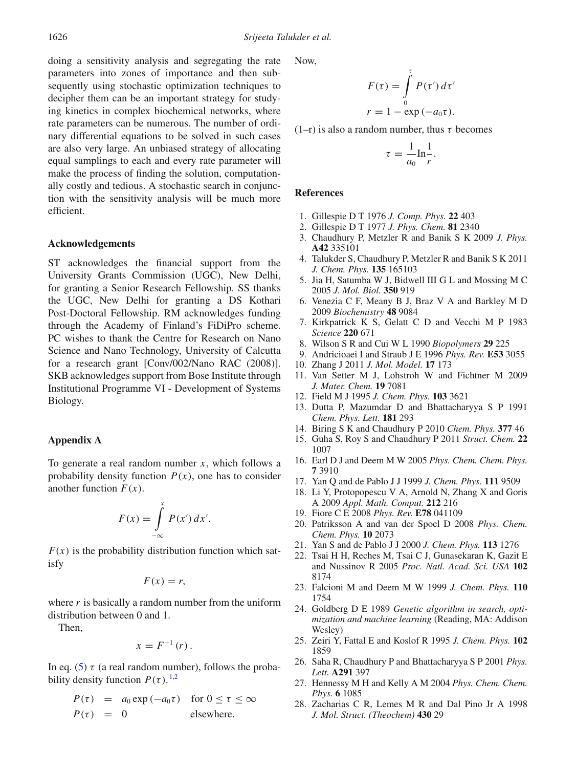doing a sensitivity analysis and segregating the rate parameters into zones of importance and then subsequently using stochastic optimization techniques to decipher them can be an important strategy for studying kinetics in complex biochemical networks, where rate parameters can be numerous. The number of ordinary differential equations to be solved in such cases are also very large. An unbiased strategy of allocating equal samplings to each and every rate parameter will make the process of finding the solution, computationally costly and tedious. A stochastic search in conjunction with the sensitivity analysis will be much more efficient.

## **Acknowledgements**

ST acknowledges the financial support from the University Grants Commission (UGC), New Delhi, for granting a Senior Research Fellowship. SS thanks the UGC, New Delhi for granting a DS Kothari Post-Doctoral Fellowship. RM acknowledges funding through the Academy of Finland's FiDiPro scheme. PC wishes to thank the Centre for Research on Nano Science and Nano Technology, University of Calcutta for a research grant [Conv/002/Nano RAC (2008)]. SKB acknowledges support from Bose Institute through Institutional Programme VI - Development of Systems Biology.

#### <span id="page-7-11"></span>**Appendix A**

To generate a real random number *x*, which follows a probability density function  $P(x)$ , one has to consider another function  $F(x)$ .

$$
F(x) = \int_{-\infty}^{x} P(x') dx'.
$$

 $F(x)$  is the probability distribution function which satisfy

$$
F(x) = r,
$$

where *r* is basically a random number from the uniform distribution between 0 and 1.

Then,

$$
x=F^{-1}(r).
$$

In eq. [\(5\)](#page-2-0)  $\tau$  (a real random number), follows the probability density function  $P(\tau)$ .<sup>[1](#page-7-0)[,2](#page-7-1)</sup>

$$
P(\tau) = a_0 \exp(-a_0 \tau) \text{ for } 0 \le \tau \le \infty
$$
  
 
$$
P(\tau) = 0 \text{ elsewhere.}
$$

Now,

$$
F(\tau) = \int_{0}^{\tau} P(\tau') d\tau'
$$
  

$$
r = 1 - \exp(-a_0 \tau).
$$

(1–r) is also a random number, thus  $\tau$  becomes

$$
\tau = \frac{1}{a_0} \ln \frac{1}{r}.
$$

#### **References**

- <span id="page-7-0"></span>1. Gillespie D T 1976 *J. Comp. Phys.* **22** 403
- <span id="page-7-1"></span>2. Gillespie D T 1977 *J. Phys. Chem.* **81** 2340
- <span id="page-7-2"></span>3. Chaudhury P, Metzler R and Banik S K 2009 *J. Phys.* **A42** 335101
- <span id="page-7-3"></span>4. Talukder S, Chaudhury P, Metzler R and Banik S K 2011 *J. Chem. Phys.* **135** 165103
- <span id="page-7-4"></span>5. Jia H, Satumba W J, Bidwell III G L and Mossing M C 2005 *J. Mol. Biol.* **350** 919
- <span id="page-7-5"></span>6. Venezia C F, Meany B J, Braz V A and Barkley M D 2009 *Biochemistry* **48** 9084
- <span id="page-7-6"></span>7. Kirkpatrick K S, Gelatt C D and Vecchi M P 1983 *Science* **220** 671
- 8. Wilson S R and Cui W L 1990 *Biopolymers* **29** 225
- 9. Andricioaei I and Straub J E 1996 *Phys. Rev.* **E53** 3055
- 10. Zhang J 2011 *J. Mol. Model.* **17** 173
- 11. Van Setter M J, Lohstroh W and Fichtner M 2009 *J. Mater. Chem.* **19** 7081
- 12. Field M J 1995 *J. Chem. Phys.* **103** 3621
- 13. Dutta P, Mazumdar D and Bhattacharyya S P 1991 *Chem. Phys. Lett.* **181** 293
- 14. Biring S K and Chaudhury P 2010 *Chem. Phys.* **377** 46
- <span id="page-7-7"></span>15. Guha S, Roy S and Chaudhury P 2011 *Struct. Chem.* **22** 1007
- <span id="page-7-8"></span>16. Earl D J and Deem M W 2005 *Phys. Chem. Chem. Phys.* **7** 3910
- 17. Yan Q and de Pablo J J 1999 *J. Chem. Phys.* **111** 9509
- 18. Li Y, Protopopescu V A, Arnold N, Zhang X and Goris A 2009 *Appl. Math. Comput.* **212** 216
- 19. Fiore C E 2008 *Phys. Rev.* **E78** 041109
- 20. Patriksson A and van der Spoel D 2008 *Phys. Chem. Chem. Phys.* **10** 2073
- 21. Yan S and de Pablo J J 2000 *J. Chem. Phys.* **113** 1276
- 22. Tsai H H, Reches M, Tsai C J, Gunasekaran K, Gazit E and Nussinov R 2005 *Proc. Natl. Acad. Sci. USA* **102** 8174
- <span id="page-7-9"></span>23. Falcioni M and Deem M W 1999 *J. Chem. Phys.* **110** 1754
- <span id="page-7-10"></span>24. Goldberg D E 1989 *Genetic algorithm in search, optimization and machine learning* (Reading, MA: Addison Wesley)
- 25. Zeiri Y, Fattal E and Koslof R 1995 *J. Chem. Phys.* **102** 1859
- 26. Saha R, Chaudhury P and Bhattacharyya S P 2001 *Phys. Lett.* **A291** 397
- 27. Hennessy M H and Kelly A M 2004 *Phys. Chem. Chem. Phys.* **6** 1085
- 28. Zacharias C R, Lemes M R and Dal Pino Jr A 1998 *J. Mol. Struct. (Theochem)* **430** 29